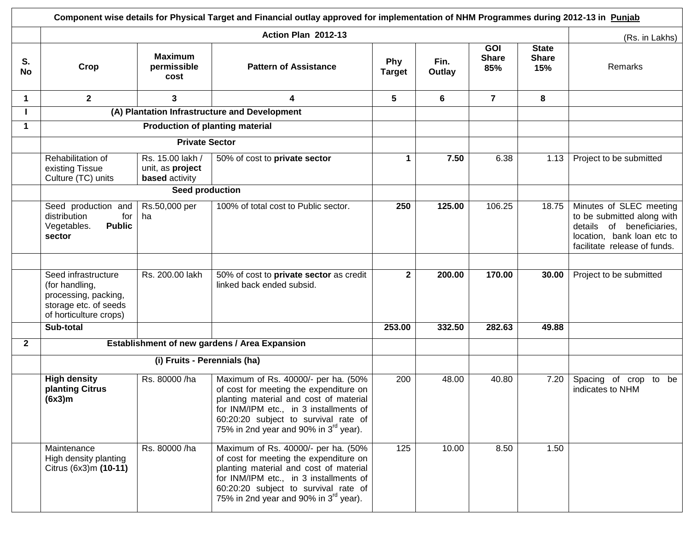|              | Component wise details for Physical Target and Financial outlay approved for implementation of NHM Programmes during 2012-13 in Punjab |                                                               |                                                                                                                                                                                                                                                                |                      |                |                                   |                                     |                                                                                                                                                  |  |  |  |  |
|--------------|----------------------------------------------------------------------------------------------------------------------------------------|---------------------------------------------------------------|----------------------------------------------------------------------------------------------------------------------------------------------------------------------------------------------------------------------------------------------------------------|----------------------|----------------|-----------------------------------|-------------------------------------|--------------------------------------------------------------------------------------------------------------------------------------------------|--|--|--|--|
|              |                                                                                                                                        |                                                               | Action Plan 2012-13                                                                                                                                                                                                                                            |                      |                |                                   |                                     | (Rs. in Lakhs)                                                                                                                                   |  |  |  |  |
| S.<br>No     | Crop                                                                                                                                   | <b>Maximum</b><br>permissible<br>cost                         | <b>Pattern of Assistance</b>                                                                                                                                                                                                                                   | Phy<br><b>Target</b> | Fin.<br>Outlay | <b>GOI</b><br><b>Share</b><br>85% | <b>State</b><br><b>Share</b><br>15% | Remarks                                                                                                                                          |  |  |  |  |
| $\mathbf 1$  | $\overline{2}$                                                                                                                         | 3                                                             | 4                                                                                                                                                                                                                                                              | 5                    | 6              | $\overline{7}$                    | 8                                   |                                                                                                                                                  |  |  |  |  |
|              |                                                                                                                                        |                                                               | (A) Plantation Infrastructure and Development                                                                                                                                                                                                                  |                      |                |                                   |                                     |                                                                                                                                                  |  |  |  |  |
| $\mathbf 1$  |                                                                                                                                        | <b>Production of planting material</b>                        |                                                                                                                                                                                                                                                                |                      |                |                                   |                                     |                                                                                                                                                  |  |  |  |  |
|              |                                                                                                                                        |                                                               |                                                                                                                                                                                                                                                                |                      |                |                                   |                                     |                                                                                                                                                  |  |  |  |  |
|              | Rehabilitation of<br>existing Tissue<br>Culture (TC) units                                                                             | Rs. 15.00 lakh /<br>unit, as project<br><b>based</b> activity | 50% of cost to private sector                                                                                                                                                                                                                                  | $\mathbf 1$          | 7.50           | 6.38                              | 1.13                                | Project to be submitted                                                                                                                          |  |  |  |  |
|              |                                                                                                                                        |                                                               |                                                                                                                                                                                                                                                                |                      |                |                                   |                                     |                                                                                                                                                  |  |  |  |  |
|              | Seed production and<br>distribution<br>for<br>Vegetables.<br><b>Public</b><br>sector                                                   | Rs.50,000 per<br>ha                                           | 100% of total cost to Public sector.                                                                                                                                                                                                                           | 250                  | 125.00         | 106.25                            | 18.75                               | Minutes of SLEC meeting<br>to be submitted along with<br>details of beneficiaries,<br>location, bank loan etc to<br>facilitate release of funds. |  |  |  |  |
|              |                                                                                                                                        |                                                               |                                                                                                                                                                                                                                                                |                      |                |                                   |                                     |                                                                                                                                                  |  |  |  |  |
|              | Seed infrastructure<br>(for handling,<br>processing, packing,<br>storage etc. of seeds<br>of horticulture crops)                       | Rs. 200.00 lakh                                               | 50% of cost to private sector as credit<br>linked back ended subsid.                                                                                                                                                                                           | $\mathbf{2}$         | 200.00         | 170.00                            | 30.00                               | Project to be submitted                                                                                                                          |  |  |  |  |
|              | Sub-total                                                                                                                              |                                                               |                                                                                                                                                                                                                                                                | 253.00               | 332.50         | 282.63                            | 49.88                               |                                                                                                                                                  |  |  |  |  |
| $\mathbf{2}$ |                                                                                                                                        |                                                               | Establishment of new gardens / Area Expansion                                                                                                                                                                                                                  |                      |                |                                   |                                     |                                                                                                                                                  |  |  |  |  |
|              |                                                                                                                                        | (i) Fruits - Perennials (ha)                                  |                                                                                                                                                                                                                                                                |                      |                |                                   |                                     |                                                                                                                                                  |  |  |  |  |
|              | <b>High density</b><br>planting Citrus<br>(6x3)m                                                                                       | Rs. 80000 /ha                                                 | Maximum of Rs. 40000/- per ha. (50%<br>of cost for meeting the expenditure on<br>planting material and cost of material<br>for INM/IPM etc., in 3 installments of<br>60:20:20 subject to survival rate of<br>75% in 2nd year and 90% in 3 <sup>rd</sup> year). | 200                  | 48.00          | 40.80                             | 7.20                                | Spacing of crop to<br>be<br>indicates to NHM                                                                                                     |  |  |  |  |
|              | Maintenance<br>High density planting<br>Citrus (6x3)m (10-11)                                                                          | Rs. 80000 /ha                                                 | Maximum of Rs. 40000/- per ha. (50%<br>of cost for meeting the expenditure on<br>planting material and cost of material<br>for INM/IPM etc., in 3 installments of<br>60:20:20 subject to survival rate of<br>75% in 2nd year and 90% in 3 <sup>rd</sup> year). | 125                  | 10.00          | 8.50                              | 1.50                                |                                                                                                                                                  |  |  |  |  |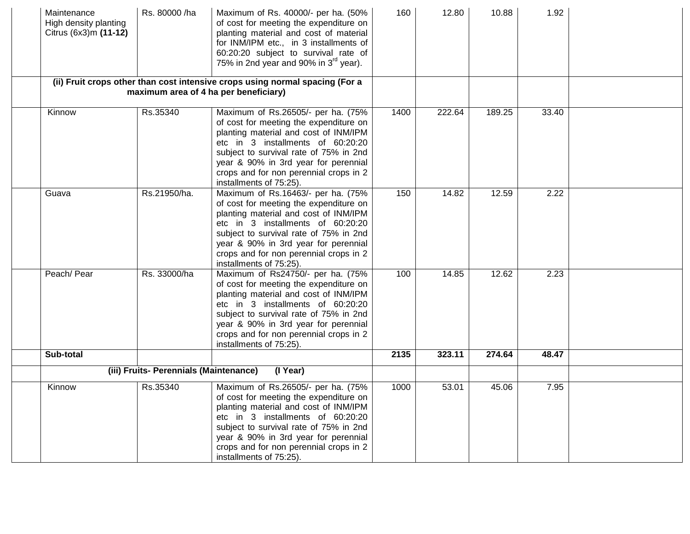| Maintenance<br>High density planting<br>Citrus (6x3)m (11-12) | Rs. 80000 /ha                          | Maximum of Rs. 40000/- per ha. (50%<br>of cost for meeting the expenditure on<br>planting material and cost of material<br>for INM/IPM etc., in 3 installments of<br>60:20:20 subject to survival rate of<br>75% in 2nd year and 90% in 3 <sup>rd</sup> year).                                                    | 160  | 12.80  | 10.88  | 1.92  |  |
|---------------------------------------------------------------|----------------------------------------|-------------------------------------------------------------------------------------------------------------------------------------------------------------------------------------------------------------------------------------------------------------------------------------------------------------------|------|--------|--------|-------|--|
|                                                               |                                        | (ii) Fruit crops other than cost intensive crops using normal spacing (For a<br>maximum area of 4 ha per beneficiary)                                                                                                                                                                                             |      |        |        |       |  |
| Kinnow                                                        | Rs.35340                               | Maximum of Rs.26505/- per ha. (75%<br>of cost for meeting the expenditure on<br>planting material and cost of INM/IPM<br>etc in 3 installments of 60:20:20<br>subject to survival rate of 75% in 2nd<br>year & 90% in 3rd year for perennial<br>crops and for non perennial crops in 2<br>installments of 75:25). | 1400 | 222.64 | 189.25 | 33.40 |  |
| Guava                                                         | Rs.21950/ha.                           | Maximum of Rs.16463/- per ha. (75%<br>of cost for meeting the expenditure on<br>planting material and cost of INM/IPM<br>etc in 3 installments of 60:20:20<br>subject to survival rate of 75% in 2nd<br>year & 90% in 3rd year for perennial<br>crops and for non perennial crops in 2<br>installments of 75:25). | 150  | 14.82  | 12.59  | 2.22  |  |
| Peach/ Pear                                                   | Rs. 33000/ha                           | Maximum of Rs24750/- per ha. (75%<br>of cost for meeting the expenditure on<br>planting material and cost of INM/IPM<br>etc in 3 installments of 60:20:20<br>subject to survival rate of 75% in 2nd<br>year & 90% in 3rd year for perennial<br>crops and for non perennial crops in 2<br>installments of 75:25).  | 100  | 14.85  | 12.62  | 2.23  |  |
| Sub-total                                                     |                                        |                                                                                                                                                                                                                                                                                                                   | 2135 | 323.11 | 274.64 | 48.47 |  |
|                                                               | (iii) Fruits- Perennials (Maintenance) | (I Year)                                                                                                                                                                                                                                                                                                          |      |        |        |       |  |
| Kinnow                                                        | Rs.35340                               | Maximum of Rs.26505/- per ha. (75%<br>of cost for meeting the expenditure on<br>planting material and cost of INM/IPM<br>etc in 3 installments of 60:20:20<br>subject to survival rate of 75% in 2nd<br>year & 90% in 3rd year for perennial<br>crops and for non perennial crops in 2<br>installments of 75:25). | 1000 | 53.01  | 45.06  | 7.95  |  |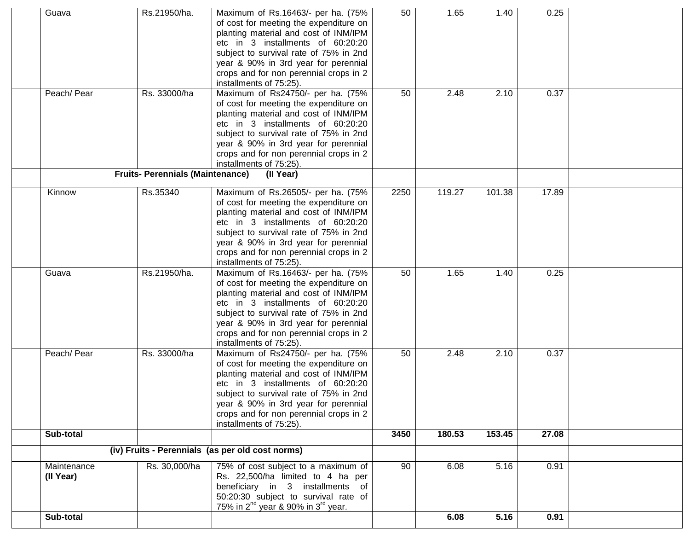| Guava                    | Rs.21950/ha.                            | Maximum of Rs.16463/- per ha. (75%<br>of cost for meeting the expenditure on<br>planting material and cost of INM/IPM<br>etc in 3 installments of 60:20:20<br>subject to survival rate of 75% in 2nd<br>year & 90% in 3rd year for perennial<br>crops and for non perennial crops in 2<br>installments of 75:25). | 50   | 1.65   | 1.40   | 0.25  |  |
|--------------------------|-----------------------------------------|-------------------------------------------------------------------------------------------------------------------------------------------------------------------------------------------------------------------------------------------------------------------------------------------------------------------|------|--------|--------|-------|--|
| Peach/ Pear              | Rs. 33000/ha                            | Maximum of Rs24750/- per ha. (75%<br>of cost for meeting the expenditure on<br>planting material and cost of INM/IPM<br>etc in 3 installments of 60:20:20<br>subject to survival rate of 75% in 2nd<br>year & 90% in 3rd year for perennial<br>crops and for non perennial crops in 2<br>installments of 75:25).  | 50   | 2.48   | 2.10   | 0.37  |  |
|                          | <b>Fruits- Perennials (Maintenance)</b> | (Il Year)                                                                                                                                                                                                                                                                                                         |      |        |        |       |  |
| Kinnow                   | Rs.35340                                | Maximum of Rs.26505/- per ha. (75%<br>of cost for meeting the expenditure on<br>planting material and cost of INM/IPM<br>etc in 3 installments of 60:20:20<br>subject to survival rate of 75% in 2nd<br>year & 90% in 3rd year for perennial<br>crops and for non perennial crops in 2<br>installments of 75:25). | 2250 | 119.27 | 101.38 | 17.89 |  |
| Guava                    | Rs.21950/ha.                            | Maximum of Rs.16463/- per ha. (75%<br>of cost for meeting the expenditure on<br>planting material and cost of INM/IPM<br>etc in 3 installments of 60:20:20<br>subject to survival rate of 75% in 2nd<br>year & 90% in 3rd year for perennial<br>crops and for non perennial crops in 2<br>installments of 75:25). | 50   | 1.65   | 1.40   | 0.25  |  |
| Peach/ Pear              | Rs. 33000/ha                            | Maximum of Rs24750/- per ha. (75%<br>of cost for meeting the expenditure on<br>planting material and cost of INM/IPM<br>etc in 3 installments of 60:20:20<br>subject to survival rate of 75% in 2nd<br>year & 90% in 3rd year for perennial<br>crops and for non perennial crops in 2<br>installments of 75:25).  | 50   | 2.48   | 2.10   | 0.37  |  |
| Sub-total                |                                         |                                                                                                                                                                                                                                                                                                                   | 3450 | 180.53 | 153.45 | 27.08 |  |
|                          |                                         | (iv) Fruits - Perennials (as per old cost norms)                                                                                                                                                                                                                                                                  |      |        |        |       |  |
| Maintenance<br>(II Year) | Rs. 30,000/ha                           | 75% of cost subject to a maximum of<br>Rs. 22,500/ha limited to 4 ha per<br>beneficiary in 3 installments of<br>50:20:30 subject to survival rate of<br>75% in $2^{nd}$ year & 90% in $3^{rd}$ year.                                                                                                              | 90   | 6.08   | 5.16   | 0.91  |  |
| Sub-total                |                                         |                                                                                                                                                                                                                                                                                                                   |      | 6.08   | 5.16   | 0.91  |  |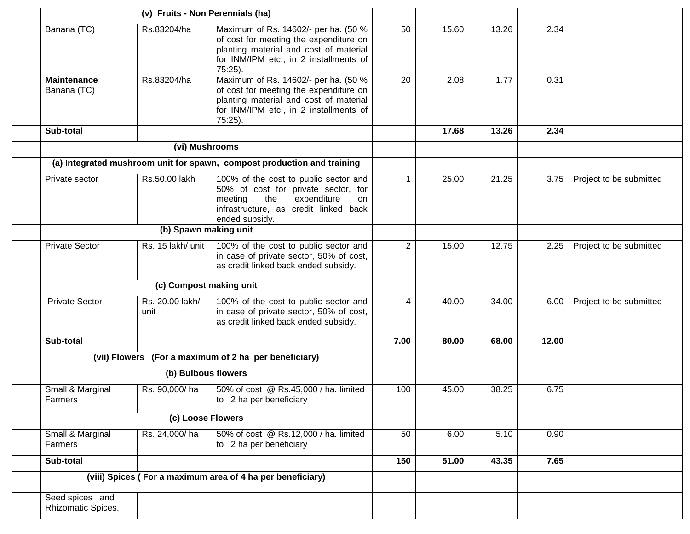| (v) Fruits - Non Perennials (ha)      |                         |                                                                                                                                                                                  |                |       |       |       |                         |
|---------------------------------------|-------------------------|----------------------------------------------------------------------------------------------------------------------------------------------------------------------------------|----------------|-------|-------|-------|-------------------------|
| Banana (TC)                           | Rs.83204/ha             | Maximum of Rs. 14602/- per ha. (50 %<br>of cost for meeting the expenditure on<br>planting material and cost of material<br>for INM/IPM etc., in 2 installments of<br>$75:25$ ). | 50             | 15.60 | 13.26 | 2.34  |                         |
| <b>Maintenance</b><br>Banana (TC)     | Rs.83204/ha             | Maximum of Rs. 14602/- per ha. (50 %<br>of cost for meeting the expenditure on<br>planting material and cost of material<br>for INM/IPM etc., in 2 installments of<br>75:25).    | 20             | 2.08  | 1.77  | 0.31  |                         |
| Sub-total                             |                         |                                                                                                                                                                                  |                | 17.68 | 13.26 | 2.34  |                         |
|                                       | (vi) Mushrooms          |                                                                                                                                                                                  |                |       |       |       |                         |
|                                       |                         | (a) Integrated mushroom unit for spawn, compost production and training                                                                                                          |                |       |       |       |                         |
| Private sector                        | Rs.50.00 lakh           | 100% of the cost to public sector and<br>50% of cost for private sector, for<br>the<br>expenditure<br>meeting<br>on<br>infrastructure, as credit linked back<br>ended subsidy.   | $\mathbf{1}$   | 25.00 | 21.25 | 3.75  | Project to be submitted |
|                                       | (b) Spawn making unit   |                                                                                                                                                                                  |                |       |       |       |                         |
| <b>Private Sector</b>                 | Rs. 15 lakh/ unit       | 100% of the cost to public sector and<br>in case of private sector, 50% of cost,<br>as credit linked back ended subsidy.                                                         | $\overline{2}$ | 15.00 | 12.75 | 2.25  | Project to be submitted |
|                                       | (c) Compost making unit |                                                                                                                                                                                  |                |       |       |       |                         |
| <b>Private Sector</b>                 | Rs. 20.00 lakh/<br>unit | 100% of the cost to public sector and<br>in case of private sector, 50% of cost,<br>as credit linked back ended subsidy.                                                         | 4              | 40.00 | 34.00 | 6.00  | Project to be submitted |
| Sub-total                             |                         |                                                                                                                                                                                  | 7.00           | 80.00 | 68.00 | 12.00 |                         |
|                                       |                         | (vii) Flowers (For a maximum of 2 ha per beneficiary)                                                                                                                            |                |       |       |       |                         |
|                                       | (b) Bulbous flowers     |                                                                                                                                                                                  |                |       |       |       |                         |
| Small & Marginal<br>Farmers           | Rs. 90,000/ha           | 50% of cost @ Rs.45,000 / ha. limited<br>to 2 ha per beneficiary                                                                                                                 | 100            | 45.00 | 38.25 | 6.75  |                         |
| (c) Loose Flowers                     |                         |                                                                                                                                                                                  |                |       |       |       |                         |
| Small & Marginal<br>Farmers           | Rs. 24,000/ha           | 50% of cost @ Rs.12,000 / ha. limited<br>to 2 ha per beneficiary                                                                                                                 | 50             | 6.00  | 5.10  | 0.90  |                         |
| Sub-total                             |                         |                                                                                                                                                                                  | 150            | 51.00 | 43.35 | 7.65  |                         |
|                                       |                         | (viii) Spices (For a maximum area of 4 ha per beneficiary)                                                                                                                       |                |       |       |       |                         |
| Seed spices and<br>Rhizomatic Spices. |                         |                                                                                                                                                                                  |                |       |       |       |                         |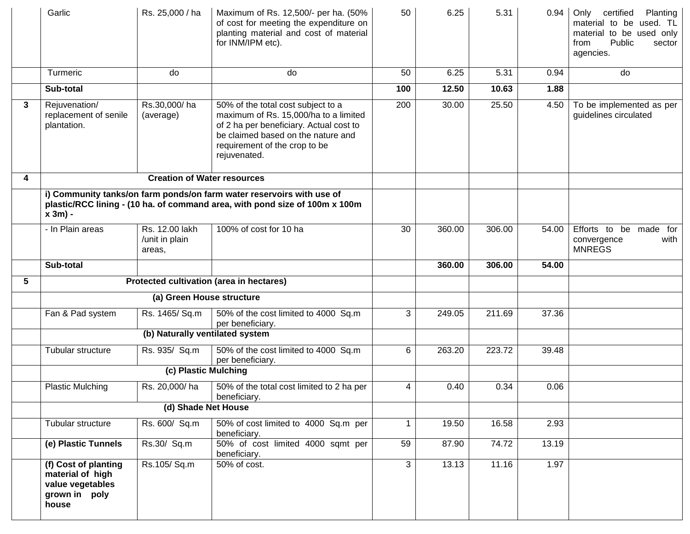|   | Garlic                                                                                                                                                             | Rs. 25,000 / ha                            | Maximum of Rs. 12,500/- per ha. (50%<br>of cost for meeting the expenditure on<br>planting material and cost of material<br>for INM/IPM etc).                                                                 | 50           | 6.25   | 5.31   | 0.94  | Only<br>certified<br>Planting<br>material to be used. TL<br>material to be used only<br>Public<br>from<br>sector<br>agencies. |
|---|--------------------------------------------------------------------------------------------------------------------------------------------------------------------|--------------------------------------------|---------------------------------------------------------------------------------------------------------------------------------------------------------------------------------------------------------------|--------------|--------|--------|-------|-------------------------------------------------------------------------------------------------------------------------------|
|   | Turmeric                                                                                                                                                           | do                                         | do                                                                                                                                                                                                            | 50           | 6.25   | 5.31   | 0.94  | do                                                                                                                            |
|   | Sub-total                                                                                                                                                          |                                            |                                                                                                                                                                                                               | 100          | 12.50  | 10.63  | 1.88  |                                                                                                                               |
| 3 | Rejuvenation/<br>replacement of senile<br>plantation.                                                                                                              | Rs.30,000/ha<br>(average)                  | 50% of the total cost subject to a<br>maximum of Rs. 15,000/ha to a limited<br>of 2 ha per beneficiary. Actual cost to<br>be claimed based on the nature and<br>requirement of the crop to be<br>rejuvenated. | 200          | 30.00  | 25.50  | 4.50  | To be implemented as per<br>guidelines circulated                                                                             |
| 4 |                                                                                                                                                                    | <b>Creation of Water resources</b>         |                                                                                                                                                                                                               |              |        |        |       |                                                                                                                               |
|   | i) Community tanks/on farm ponds/on farm water reservoirs with use of<br>plastic/RCC lining - (10 ha. of command area, with pond size of 100m x 100m<br>$x 3m$ ) - |                                            |                                                                                                                                                                                                               |              |        |        |       |                                                                                                                               |
|   | - In Plain areas                                                                                                                                                   | Rs. 12.00 lakh<br>/unit in plain<br>areas, | 100% of cost for 10 ha                                                                                                                                                                                        | 30           | 360.00 | 306.00 | 54.00 | Efforts to be made for<br>with<br>convergence<br><b>MNREGS</b>                                                                |
|   | Sub-total                                                                                                                                                          |                                            |                                                                                                                                                                                                               |              | 360.00 | 306.00 | 54.00 |                                                                                                                               |
| 5 |                                                                                                                                                                    |                                            | Protected cultivation (area in hectares)                                                                                                                                                                      |              |        |        |       |                                                                                                                               |
|   |                                                                                                                                                                    | (a) Green House structure                  |                                                                                                                                                                                                               |              |        |        |       |                                                                                                                               |
|   | Fan & Pad system                                                                                                                                                   | Rs. 1465/ Sq.m                             | 50% of the cost limited to 4000 Sq.m<br>per beneficiary.                                                                                                                                                      | 3            | 249.05 | 211.69 | 37.36 |                                                                                                                               |
|   |                                                                                                                                                                    | (b) Naturally ventilated system            |                                                                                                                                                                                                               |              |        |        |       |                                                                                                                               |
|   | Tubular structure                                                                                                                                                  | Rs. 935/ Sq.m                              | 50% of the cost limited to 4000 Sq.m<br>per beneficiary.                                                                                                                                                      | 6            | 263.20 | 223.72 | 39.48 |                                                                                                                               |
|   |                                                                                                                                                                    | (c) Plastic Mulching                       |                                                                                                                                                                                                               |              |        |        |       |                                                                                                                               |
|   | <b>Plastic Mulching</b>                                                                                                                                            | Rs. 20,000/ha                              | 50% of the total cost limited to 2 ha per<br>beneficiary.                                                                                                                                                     | 4            | 0.40   | 0.34   | 0.06  |                                                                                                                               |
|   |                                                                                                                                                                    | (d) Shade Net House                        |                                                                                                                                                                                                               |              |        |        |       |                                                                                                                               |
|   | Tubular structure                                                                                                                                                  | Rs. 600/ Sq.m                              | 50% of cost limited to 4000 Sq.m per<br>beneficiary.                                                                                                                                                          | $\mathbf{1}$ | 19.50  | 16.58  | 2.93  |                                                                                                                               |
|   | (e) Plastic Tunnels                                                                                                                                                | Rs.30/ Sq.m                                | 50% of cost limited 4000 sqmt per<br>beneficiary.                                                                                                                                                             | 59           | 87.90  | 74.72  | 13.19 |                                                                                                                               |
|   | (f) Cost of planting<br>material of high<br>value vegetables<br>grown in poly<br>house                                                                             | Rs.105/Sq.m                                | 50% of cost.                                                                                                                                                                                                  | 3            | 13.13  | 11.16  | 1.97  |                                                                                                                               |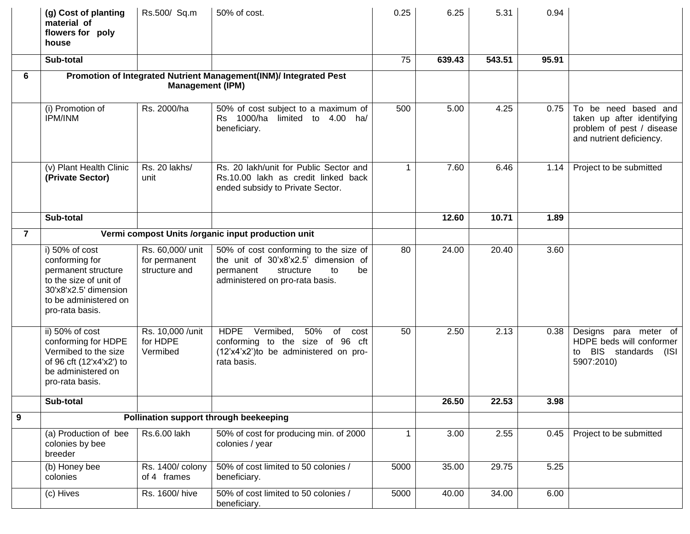|                | (g) Cost of planting<br>material of<br>flowers for poly<br>house                                                                                       | Rs.500/ Sq.m                                       | 50% of cost.                                                                                                                                           | 0.25         | 6.25   | 5.31   | 0.94  |                                                                                                             |
|----------------|--------------------------------------------------------------------------------------------------------------------------------------------------------|----------------------------------------------------|--------------------------------------------------------------------------------------------------------------------------------------------------------|--------------|--------|--------|-------|-------------------------------------------------------------------------------------------------------------|
|                | Sub-total                                                                                                                                              |                                                    |                                                                                                                                                        | 75           | 639.43 | 543.51 | 95.91 |                                                                                                             |
| 6              | Promotion of Integrated Nutrient Management(INM)/ Integrated Pest<br><b>Management (IPM)</b>                                                           |                                                    |                                                                                                                                                        |              |        |        |       |                                                                                                             |
|                | (i) Promotion of<br><b>IPM/INM</b>                                                                                                                     | Rs. 2000/ha                                        | 50% of cost subject to a maximum of<br>Rs 1000/ha limited to 4.00 ha/<br>beneficiary.                                                                  | 500          | 5.00   | 4.25   | 0.75  | To be need based and<br>taken up after identifying<br>problem of pest / disease<br>and nutrient deficiency. |
|                | (v) Plant Health Clinic<br>(Private Sector)                                                                                                            | Rs. 20 lakhs/<br>unit                              | Rs. 20 lakh/unit for Public Sector and<br>Rs.10.00 lakh as credit linked back<br>ended subsidy to Private Sector.                                      | $\mathbf 1$  | 7.60   | 6.46   | 1.14  | Project to be submitted                                                                                     |
|                | Sub-total                                                                                                                                              |                                                    |                                                                                                                                                        |              | 12.60  | 10.71  | 1.89  |                                                                                                             |
| $\overline{7}$ | Vermi compost Units /organic input production unit                                                                                                     |                                                    |                                                                                                                                                        |              |        |        |       |                                                                                                             |
|                | i) 50% of cost<br>conforming for<br>permanent structure<br>to the size of unit of<br>30'x8'x2.5' dimension<br>to be administered on<br>pro-rata basis. | Rs. 60,000/ unit<br>for permanent<br>structure and | 50% of cost conforming to the size of<br>the unit of 30'x8'x2.5' dimension of<br>structure<br>be<br>permanent<br>to<br>administered on pro-rata basis. | 80           | 24.00  | 20.40  | 3.60  |                                                                                                             |
|                | ii) 50% of cost<br>conforming for HDPE<br>Vermibed to the size<br>of 96 cft (12'x4'x2') to<br>be administered on<br>pro-rata basis.                    | Rs. 10,000 / unit<br>for HDPE<br>Vermibed          | <b>HDPE</b><br>Vermibed,<br>50%<br>of<br>cost<br>conforming to the size of 96 cft<br>(12'x4'x2')to be administered on pro-<br>rata basis.              | 50           | 2.50   | 2.13   | 0.38  | Designs para meter of<br>HDPE beds will conformer<br>BIS standards<br>(ISI<br>to<br>5907:2010)              |
|                | Sub-total                                                                                                                                              |                                                    |                                                                                                                                                        |              | 26.50  | 22.53  | 3.98  |                                                                                                             |
| 9              |                                                                                                                                                        |                                                    | Pollination support through beekeeping                                                                                                                 |              |        |        |       |                                                                                                             |
|                | (a) Production of bee<br>colonies by bee<br>breeder                                                                                                    | Rs.6.00 lakh                                       | 50% of cost for producing min. of 2000<br>colonies / year                                                                                              | $\mathbf{1}$ | 3.00   | 2.55   | 0.45  | Project to be submitted                                                                                     |
|                | (b) Honey bee<br>colonies                                                                                                                              | Rs. 1400/ colony<br>of 4 frames                    | 50% of cost limited to 50 colonies /<br>beneficiary.                                                                                                   | 5000         | 35.00  | 29.75  | 5.25  |                                                                                                             |
|                | (c) Hives                                                                                                                                              | Rs. 1600/hive                                      | 50% of cost limited to 50 colonies /<br>beneficiary.                                                                                                   | 5000         | 40.00  | 34.00  | 6.00  |                                                                                                             |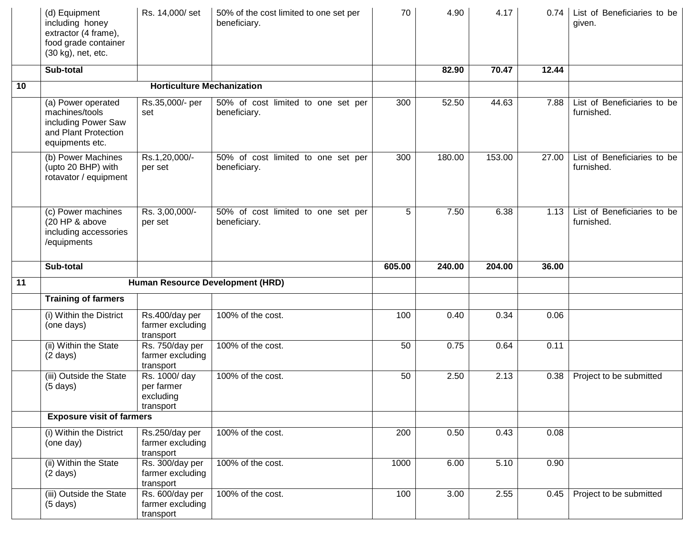|    | (d) Equipment<br>including honey<br>extractor (4 frame),<br>food grade container<br>(30 kg), net, etc. | Rs. 14,000/set                                                      | 50% of the cost limited to one set per<br>beneficiary. | 70          | 4.90         | 4.17         |              | 0.74   List of Beneficiaries to be<br>given. |
|----|--------------------------------------------------------------------------------------------------------|---------------------------------------------------------------------|--------------------------------------------------------|-------------|--------------|--------------|--------------|----------------------------------------------|
|    | Sub-total                                                                                              |                                                                     |                                                        |             | 82.90        | 70.47        | 12.44        |                                              |
| 10 |                                                                                                        | <b>Horticulture Mechanization</b>                                   |                                                        |             |              |              |              |                                              |
|    | (a) Power operated<br>machines/tools<br>including Power Saw<br>and Plant Protection<br>equipments etc. | Rs.35,000/- per<br>set                                              | 50% of cost limited to one set per<br>beneficiary.     | 300         | 52.50        | 44.63        | 7.88         | List of Beneficiaries to be<br>furnished.    |
|    | (b) Power Machines<br>(upto 20 BHP) with<br>rotavator / equipment                                      | Rs.1,20,000/-<br>per set                                            | 50% of cost limited to one set per<br>beneficiary.     | 300         | 180.00       | 153.00       | 27.00        | List of Beneficiaries to be<br>furnished.    |
|    | (c) Power machines<br>(20 HP & above<br>including accessories<br>/equipments                           | Rs. 3,00,000/-<br>per set                                           | 50% of cost limited to one set per<br>beneficiary.     | 5           | 7.50         | 6.38         | 1.13         | List of Beneficiaries to be<br>furnished.    |
|    | Sub-total                                                                                              |                                                                     |                                                        | 605.00      | 240.00       | 204.00       | 36.00        |                                              |
| 11 |                                                                                                        | Human Resource Development (HRD)                                    |                                                        |             |              |              |              |                                              |
|    | <b>Training of farmers</b>                                                                             |                                                                     |                                                        |             |              |              |              |                                              |
|    | (i) Within the District<br>(one days)                                                                  | Rs.400/day per<br>farmer excluding<br>transport                     | 100% of the cost.                                      | 100         | 0.40         | 0.34         | 0.06         |                                              |
|    | (ii) Within the State<br>$(2 \text{ days})$                                                            | Rs. 750/day per<br>farmer excluding<br>transport                    | 100% of the cost.                                      | 50          | 0.75         | 0.64         | 0.11         |                                              |
|    | (iii) Outside the State<br>$(5 \text{ days})$                                                          | Rs. 1000/ day<br>per farmer<br>excluding                            | 100% of the cost.                                      | 50          | 2.50         | 2.13         | 0.38         | Project to be submitted                      |
|    |                                                                                                        | transport                                                           |                                                        |             |              |              |              |                                              |
|    | <b>Exposure visit of farmers</b>                                                                       |                                                                     |                                                        |             |              |              |              |                                              |
|    | (i) Within the District<br>(one day)                                                                   | Rs.250/day per<br>farmer excluding<br>transport                     | 100% of the cost.                                      | 200         | 0.50         | 0.43         | 0.08         |                                              |
|    | (ii) Within the State<br>$(2 \text{ days})$<br>(iii) Outside the State                                 | Rs. 300/day per<br>farmer excluding<br>transport<br>Rs. 600/day per | 100% of the cost.<br>100% of the cost.                 | 1000<br>100 | 6.00<br>3.00 | 5.10<br>2.55 | 0.90<br>0.45 | Project to be submitted                      |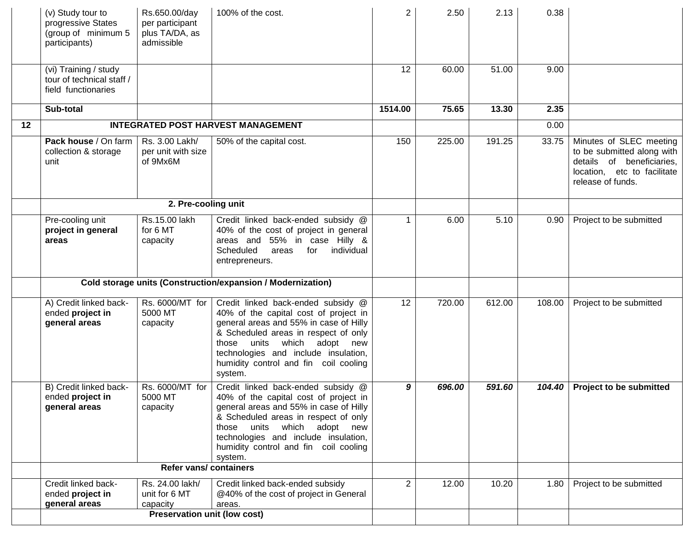|    | (v) Study tour to<br>progressive States<br>(group of minimum 5<br>participants) | Rs.650.00/day<br>per participant<br>plus TA/DA, as<br>admissible             | 100% of the cost.                                                                                                                                                                                                                                                                                 | $\overline{2}$ | 2.50   | 2.13   | 0.38   |                                                                                                                                        |
|----|---------------------------------------------------------------------------------|------------------------------------------------------------------------------|---------------------------------------------------------------------------------------------------------------------------------------------------------------------------------------------------------------------------------------------------------------------------------------------------|----------------|--------|--------|--------|----------------------------------------------------------------------------------------------------------------------------------------|
|    | (vi) Training / study<br>tour of technical staff /<br>field functionaries       |                                                                              |                                                                                                                                                                                                                                                                                                   | 12             | 60.00  | 51.00  | 9.00   |                                                                                                                                        |
|    | Sub-total                                                                       |                                                                              |                                                                                                                                                                                                                                                                                                   | 1514.00        | 75.65  | 13.30  | 2.35   |                                                                                                                                        |
| 12 |                                                                                 |                                                                              | <b>INTEGRATED POST HARVEST MANAGEMENT</b>                                                                                                                                                                                                                                                         |                |        |        | 0.00   |                                                                                                                                        |
|    | Pack house / On farm<br>collection & storage<br>unit                            | Rs. 3.00 Lakh/<br>per unit with size<br>of 9Mx6M                             | 50% of the capital cost.                                                                                                                                                                                                                                                                          | 150            | 225.00 | 191.25 | 33.75  | Minutes of SLEC meeting<br>to be submitted along with<br>details of beneficiaries,<br>location, etc to facilitate<br>release of funds. |
|    |                                                                                 | 2. Pre-cooling unit                                                          |                                                                                                                                                                                                                                                                                                   |                |        |        |        |                                                                                                                                        |
|    | Pre-cooling unit<br>project in general<br>areas                                 | Rs.15.00 lakh<br>for 6 MT<br>capacity                                        | Credit linked back-ended subsidy @<br>40% of the cost of project in general<br>areas and 55% in case Hilly &<br>Scheduled<br>for<br>individual<br>areas<br>entrepreneurs.                                                                                                                         | $\mathbf{1}$   | 6.00   | 5.10   | 0.90   | Project to be submitted                                                                                                                |
|    | Cold storage units (Construction/expansion / Modernization)                     |                                                                              |                                                                                                                                                                                                                                                                                                   |                |        |        |        |                                                                                                                                        |
|    | A) Credit linked back-<br>ended project in<br>general areas                     | Rs. 6000/MT for<br>5000 MT<br>capacity                                       | Credit linked back-ended subsidy @<br>40% of the capital cost of project in<br>general areas and 55% in case of Hilly<br>& Scheduled areas in respect of only<br>which adopt<br>those<br>units<br>new<br>technologies and include insulation,<br>humidity control and fin coil cooling<br>system. | 12             | 720.00 | 612.00 | 108.00 | Project to be submitted                                                                                                                |
|    | B) Credit linked back-<br>ended project in<br>general areas                     | Rs. 6000/MT for<br>5000 MT<br>capacity                                       | Credit linked back-ended subsidy @<br>40% of the capital cost of project in<br>general areas and 55% in case of Hilly<br>& Scheduled areas in respect of only<br>those units which adopt new<br>technologies and include insulation,<br>humidity control and fin coil cooling<br>system.          | 9              | 696.00 | 591.60 | 104.40 | <b>Project to be submitted</b>                                                                                                         |
|    |                                                                                 | <b>Refer vans/ containers</b>                                                |                                                                                                                                                                                                                                                                                                   |                |        |        |        |                                                                                                                                        |
|    | Credit linked back-<br>ended project in<br>general areas                        | Rs. 24.00 lakh/<br>unit for 6 MT<br>capacity<br>Preservation unit (low cost) | Credit linked back-ended subsidy<br>@40% of the cost of project in General<br>areas.                                                                                                                                                                                                              | $\overline{2}$ | 12.00  | 10.20  | 1.80   | Project to be submitted                                                                                                                |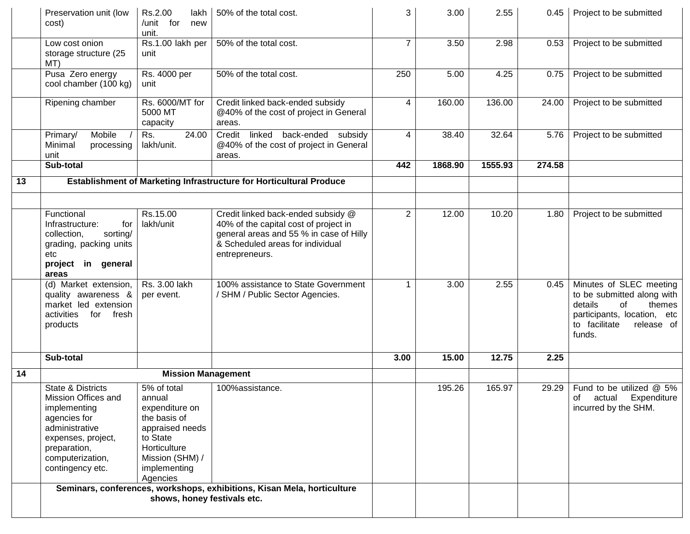|    | Preservation unit (low<br>cost)                                                                                                                                          | Rs.2.00<br>lakh<br>/unit for<br>new<br>unit.                                                                                                          | 50% of the total cost.                                                                                                                                                       | 3              | 3.00    | 2.55    | 0.45   | Project to be submitted                                                                                                                                  |
|----|--------------------------------------------------------------------------------------------------------------------------------------------------------------------------|-------------------------------------------------------------------------------------------------------------------------------------------------------|------------------------------------------------------------------------------------------------------------------------------------------------------------------------------|----------------|---------|---------|--------|----------------------------------------------------------------------------------------------------------------------------------------------------------|
|    | Low cost onion<br>storage structure (25<br>MT)                                                                                                                           | Rs.1.00 lakh per<br>unit                                                                                                                              | 50% of the total cost.                                                                                                                                                       | $\overline{7}$ | 3.50    | 2.98    | 0.53   | Project to be submitted                                                                                                                                  |
|    | Pusa Zero energy<br>cool chamber (100 kg)                                                                                                                                | Rs. 4000 per<br>unit                                                                                                                                  | 50% of the total cost.                                                                                                                                                       | 250            | 5.00    | 4.25    | 0.75   | Project to be submitted                                                                                                                                  |
|    | Ripening chamber                                                                                                                                                         | Rs. 6000/MT for<br>5000 MT<br>capacity                                                                                                                | Credit linked back-ended subsidy<br>@40% of the cost of project in General<br>areas.                                                                                         | 4              | 160.00  | 136.00  | 24.00  | Project to be submitted                                                                                                                                  |
|    | Mobile<br>Primary/<br>Minimal<br>processing<br>unit                                                                                                                      | 24.00<br>Rs.<br>lakh/unit.                                                                                                                            | linked back-ended subsidy<br>Credit<br>@40% of the cost of project in General<br>areas.                                                                                      | 4              | 38.40   | 32.64   | 5.76   | Project to be submitted                                                                                                                                  |
|    | Sub-total                                                                                                                                                                |                                                                                                                                                       |                                                                                                                                                                              | 442            | 1868.90 | 1555.93 | 274.58 |                                                                                                                                                          |
| 13 | Establishment of Marketing Infrastructure for Horticultural Produce                                                                                                      |                                                                                                                                                       |                                                                                                                                                                              |                |         |         |        |                                                                                                                                                          |
|    |                                                                                                                                                                          |                                                                                                                                                       |                                                                                                                                                                              |                |         |         |        |                                                                                                                                                          |
|    | Functional<br>Infrastructure:<br>for<br>collection,<br>sorting/<br>grading, packing units<br>etc<br>project in general<br>areas                                          | Rs.15.00<br>lakh/unit                                                                                                                                 | Credit linked back-ended subsidy @<br>40% of the capital cost of project in<br>general areas and 55 % in case of Hilly<br>& Scheduled areas for individual<br>entrepreneurs. | $\overline{2}$ | 12.00   | 10.20   | 1.80   | Project to be submitted                                                                                                                                  |
|    | (d) Market extension,<br>quality awareness &<br>market led extension<br>activities<br>for fresh<br>products                                                              | Rs. 3.00 lakh<br>per event.                                                                                                                           | 100% assistance to State Government<br>/ SHM / Public Sector Agencies.                                                                                                       | 1              | 3.00    | 2.55    | 0.45   | Minutes of SLEC meeting<br>to be submitted along with<br>details<br>of<br>themes<br>participants, location, etc<br>to facilitate<br>release of<br>funds. |
|    | Sub-total                                                                                                                                                                |                                                                                                                                                       |                                                                                                                                                                              | 3.00           | 15.00   | 12.75   | 2.25   |                                                                                                                                                          |
| 14 |                                                                                                                                                                          | <b>Mission Management</b>                                                                                                                             |                                                                                                                                                                              |                |         |         |        |                                                                                                                                                          |
|    | State & Districts<br>Mission Offices and<br>implementing<br>agencies for<br>administrative<br>expenses, project,<br>preparation,<br>computerization,<br>contingency etc. | 5% of total<br>annual<br>expenditure on<br>the basis of<br>appraised needs<br>to State<br>Horticulture<br>Mission (SHM) /<br>implementing<br>Agencies | 100%assistance.                                                                                                                                                              |                | 195.26  | 165.97  | 29.29  | Fund to be utilized @ 5%<br>of actual Expenditure<br>incurred by the SHM.                                                                                |
|    |                                                                                                                                                                          | shows, honey festivals etc.                                                                                                                           | Seminars, conferences, workshops, exhibitions, Kisan Mela, horticulture                                                                                                      |                |         |         |        |                                                                                                                                                          |